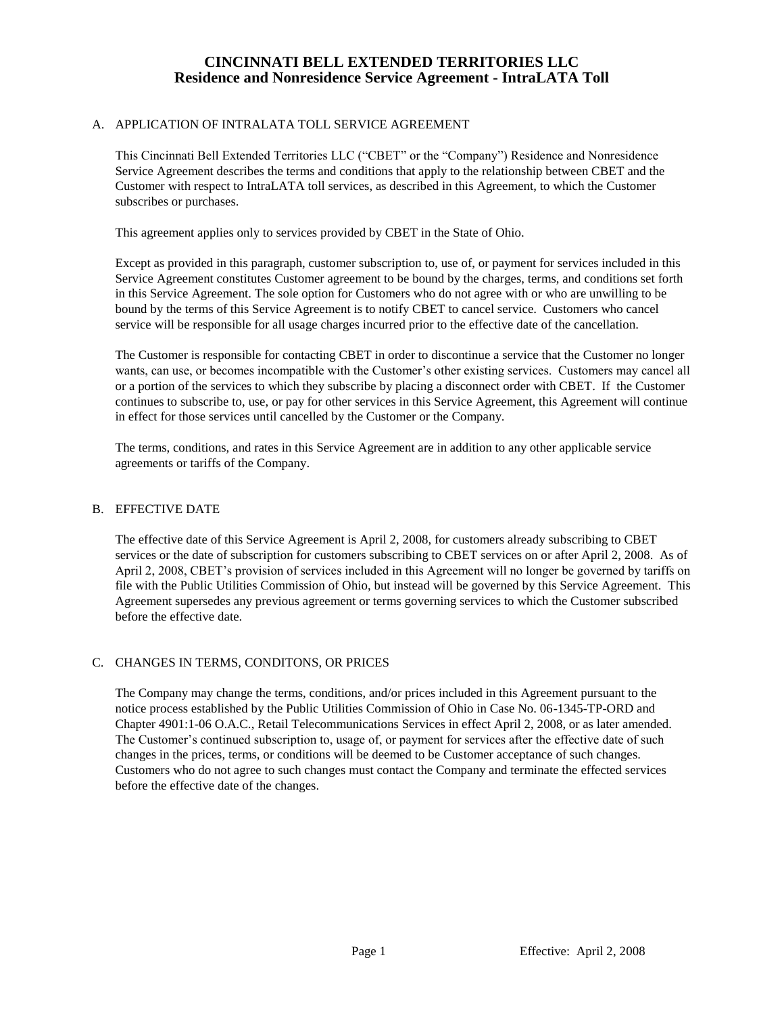#### A. APPLICATION OF INTRALATA TOLL SERVICE AGREEMENT

This Cincinnati Bell Extended Territories LLC ("CBET" or the "Company") Residence and Nonresidence Service Agreement describes the terms and conditions that apply to the relationship between CBET and the Customer with respect to IntraLATA toll services, as described in this Agreement, to which the Customer subscribes or purchases.

This agreement applies only to services provided by CBET in the State of Ohio.

Except as provided in this paragraph, customer subscription to, use of, or payment for services included in this Service Agreement constitutes Customer agreement to be bound by the charges, terms, and conditions set forth in this Service Agreement. The sole option for Customers who do not agree with or who are unwilling to be bound by the terms of this Service Agreement is to notify CBET to cancel service. Customers who cancel service will be responsible for all usage charges incurred prior to the effective date of the cancellation.

The Customer is responsible for contacting CBET in order to discontinue a service that the Customer no longer wants, can use, or becomes incompatible with the Customer's other existing services. Customers may cancel all or a portion of the services to which they subscribe by placing a disconnect order with CBET. If the Customer continues to subscribe to, use, or pay for other services in this Service Agreement, this Agreement will continue in effect for those services until cancelled by the Customer or the Company.

The terms, conditions, and rates in this Service Agreement are in addition to any other applicable service agreements or tariffs of the Company.

#### B. EFFECTIVE DATE

The effective date of this Service Agreement is April 2, 2008, for customers already subscribing to CBET services or the date of subscription for customers subscribing to CBET services on or after April 2, 2008. As of April 2, 2008, CBET's provision of services included in this Agreement will no longer be governed by tariffs on file with the Public Utilities Commission of Ohio, but instead will be governed by this Service Agreement. This Agreement supersedes any previous agreement or terms governing services to which the Customer subscribed before the effective date.

### C. CHANGES IN TERMS, CONDITONS, OR PRICES

The Company may change the terms, conditions, and/or prices included in this Agreement pursuant to the notice process established by the Public Utilities Commission of Ohio in Case No. 06-1345-TP-ORD and Chapter 4901:1-06 O.A.C., Retail Telecommunications Services in effect April 2, 2008, or as later amended. The Customer's continued subscription to, usage of, or payment for services after the effective date of such changes in the prices, terms, or conditions will be deemed to be Customer acceptance of such changes. Customers who do not agree to such changes must contact the Company and terminate the effected services before the effective date of the changes.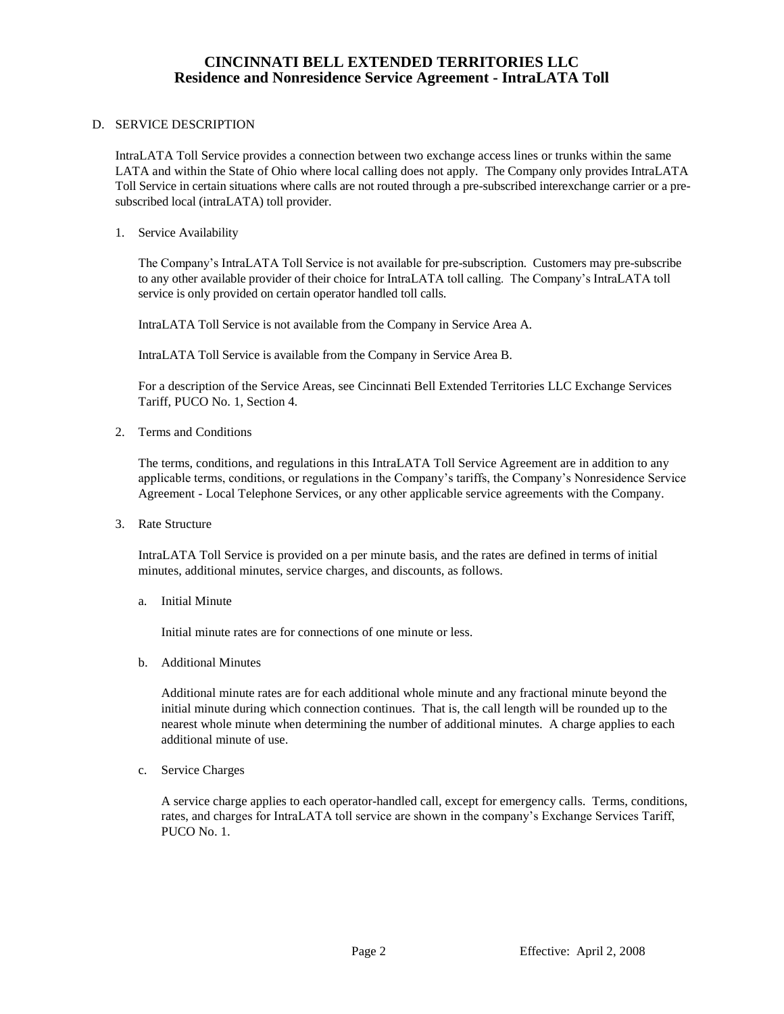#### D. SERVICE DESCRIPTION

IntraLATA Toll Service provides a connection between two exchange access lines or trunks within the same LATA and within the State of Ohio where local calling does not apply. The Company only provides IntraLATA Toll Service in certain situations where calls are not routed through a pre-subscribed interexchange carrier or a presubscribed local (intraLATA) toll provider.

1. Service Availability

The Company's IntraLATA Toll Service is not available for pre-subscription. Customers may pre-subscribe to any other available provider of their choice for IntraLATA toll calling. The Company's IntraLATA toll service is only provided on certain operator handled toll calls.

IntraLATA Toll Service is not available from the Company in Service Area A.

IntraLATA Toll Service is available from the Company in Service Area B.

For a description of the Service Areas, see Cincinnati Bell Extended Territories LLC Exchange Services Tariff, PUCO No. 1, Section 4.

2. Terms and Conditions

The terms, conditions, and regulations in this IntraLATA Toll Service Agreement are in addition to any applicable terms, conditions, or regulations in the Company's tariffs, the Company's Nonresidence Service Agreement - Local Telephone Services, or any other applicable service agreements with the Company.

3. Rate Structure

IntraLATA Toll Service is provided on a per minute basis, and the rates are defined in terms of initial minutes, additional minutes, service charges, and discounts, as follows.

a. Initial Minute

Initial minute rates are for connections of one minute or less.

b. Additional Minutes

Additional minute rates are for each additional whole minute and any fractional minute beyond the initial minute during which connection continues. That is, the call length will be rounded up to the nearest whole minute when determining the number of additional minutes. A charge applies to each additional minute of use.

c. Service Charges

A service charge applies to each operator-handled call, except for emergency calls. Terms, conditions, rates, and charges for IntraLATA toll service are shown in the company's Exchange Services Tariff, PUCO No. 1.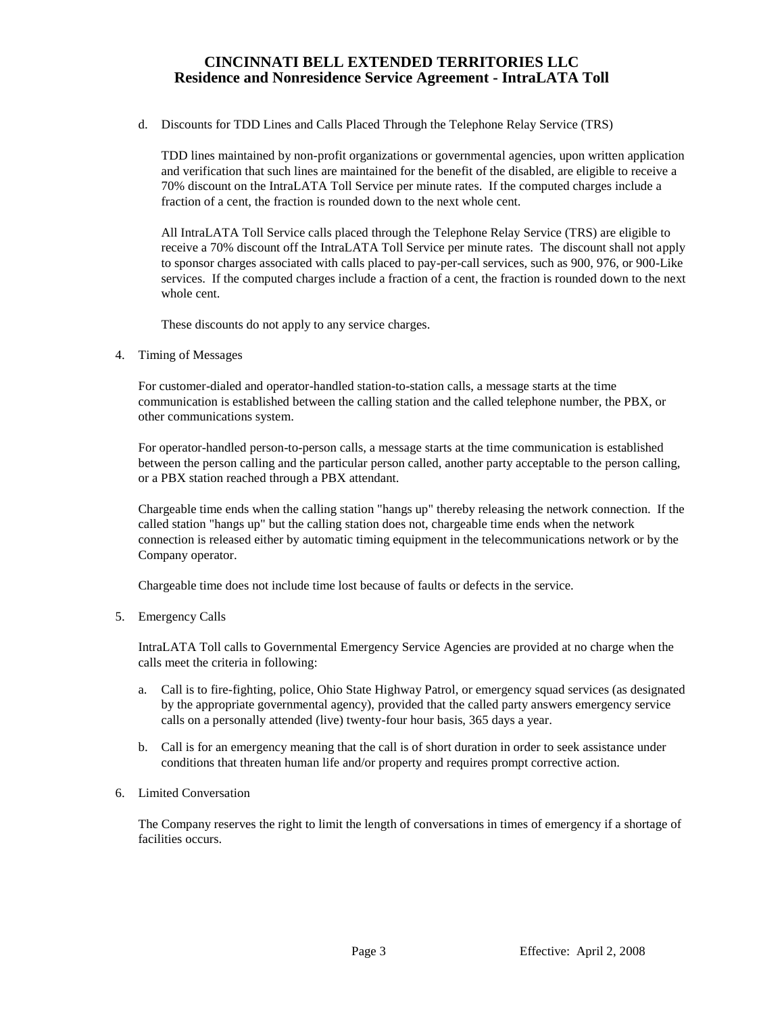d. Discounts for TDD Lines and Calls Placed Through the Telephone Relay Service (TRS)

TDD lines maintained by non-profit organizations or governmental agencies, upon written application and verification that such lines are maintained for the benefit of the disabled, are eligible to receive a 70% discount on the IntraLATA Toll Service per minute rates. If the computed charges include a fraction of a cent, the fraction is rounded down to the next whole cent.

All IntraLATA Toll Service calls placed through the Telephone Relay Service (TRS) are eligible to receive a 70% discount off the IntraLATA Toll Service per minute rates. The discount shall not apply to sponsor charges associated with calls placed to pay-per-call services, such as 900, 976, or 900-Like services. If the computed charges include a fraction of a cent, the fraction is rounded down to the next whole cent.

These discounts do not apply to any service charges.

4. Timing of Messages

For customer-dialed and operator-handled station-to-station calls, a message starts at the time communication is established between the calling station and the called telephone number, the PBX, or other communications system.

For operator-handled person-to-person calls, a message starts at the time communication is established between the person calling and the particular person called, another party acceptable to the person calling, or a PBX station reached through a PBX attendant.

Chargeable time ends when the calling station "hangs up" thereby releasing the network connection. If the called station "hangs up" but the calling station does not, chargeable time ends when the network connection is released either by automatic timing equipment in the telecommunications network or by the Company operator.

Chargeable time does not include time lost because of faults or defects in the service.

5. Emergency Calls

IntraLATA Toll calls to Governmental Emergency Service Agencies are provided at no charge when the calls meet the criteria in following:

- a. Call is to fire-fighting, police, Ohio State Highway Patrol, or emergency squad services (as designated by the appropriate governmental agency), provided that the called party answers emergency service calls on a personally attended (live) twenty-four hour basis, 365 days a year.
- b. Call is for an emergency meaning that the call is of short duration in order to seek assistance under conditions that threaten human life and/or property and requires prompt corrective action.
- 6. Limited Conversation

The Company reserves the right to limit the length of conversations in times of emergency if a shortage of facilities occurs.